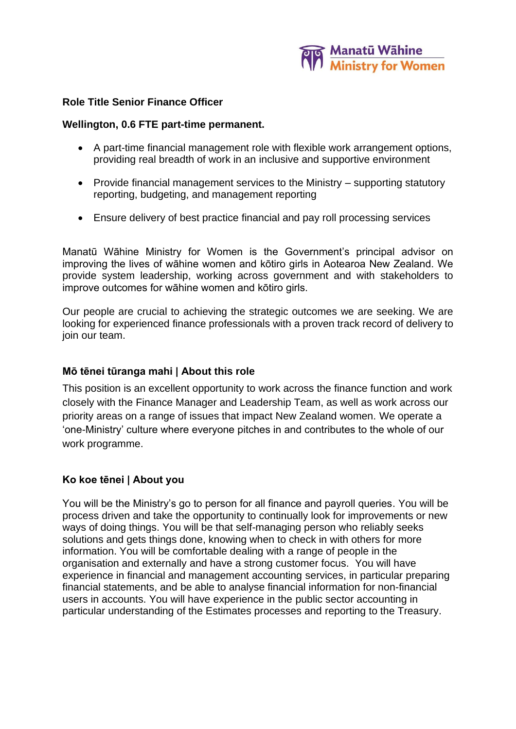

# **Role Title Senior Finance Officer**

### **Wellington, 0.6 FTE part-time permanent.**

- A part-time financial management role with flexible work arrangement options, providing real breadth of work in an inclusive and supportive environment
- Provide financial management services to the Ministry supporting statutory reporting, budgeting, and management reporting
- Ensure delivery of best practice financial and pay roll processing services

Manatū Wāhine Ministry for Women is the Government's principal advisor on improving the lives of wāhine women and kōtiro girls in Aotearoa New Zealand. We provide system leadership, working across government and with stakeholders to improve outcomes for wāhine women and kōtiro girls.

Our people are crucial to achieving the strategic outcomes we are seeking. We are looking for experienced finance professionals with a proven track record of delivery to join our team.

### **Mō tēnei tūranga mahi | About this role**

This position is an excellent opportunity to work across the finance function and work closely with the Finance Manager and Leadership Team, as well as work across our priority areas on a range of issues that impact New Zealand women. We operate a 'one-Ministry' culture where everyone pitches in and contributes to the whole of our work programme.

### **Ko koe tēnei | About you**

You will be the Ministry's go to person for all finance and payroll queries. You will be process driven and take the opportunity to continually look for improvements or new ways of doing things. You will be that self-managing person who reliably seeks solutions and gets things done, knowing when to check in with others for more information. You will be comfortable dealing with a range of people in the organisation and externally and have a strong customer focus. You will have experience in financial and management accounting services, in particular preparing financial statements, and be able to analyse financial information for non-financial users in accounts. You will have experience in the public sector accounting in particular understanding of the Estimates processes and reporting to the Treasury.